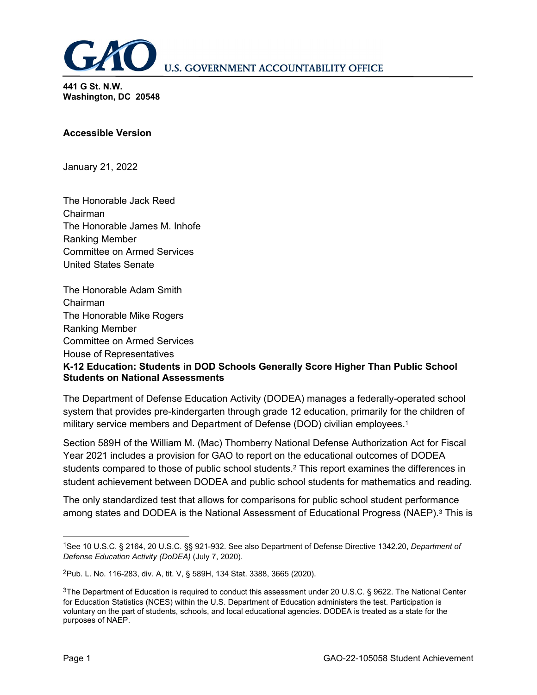

**441 G St. N.W. Washington, DC 20548**

## **Accessible Version**

January 21, 2022

The Honorable Jack Reed Chairman The Honorable James M. Inhofe Ranking Member Committee on Armed Services United States Senate

The Honorable Adam Smith Chairman The Honorable Mike Rogers Ranking Member Committee on Armed Services House of Representatives **K-12 Education: Students in DOD Schools Generally Score Higher Than Public School Students on National Assessments**

The Department of Defense Education Activity (DODEA) manages a federally-operated school system that provides pre-kindergarten through grade 12 education, primarily for the children of military service members and Department of Defense (DOD) civilian employees. [1](#page-0-0)

Section 589H of the William M. (Mac) Thornberry National Defense Authorization Act for Fiscal Year 2021 includes a provision for GAO to report on the educational outcomes of DODEA students compared to those of public school students.[2](#page-0-1) This report examines the differences in student achievement between DODEA and public school students for mathematics and reading.

The only standardized test that allows for comparisons for public school student performance among states and DODEA is the National Assessment of Educational Progress (NAEP).[3](#page-0-2) This is

<span id="page-0-0"></span> $\overline{a}$ 1See 10 U.S.C. § 2164, 20 U.S.C. §§ 921-932. See also Department of Defense Directive 1342.20, *Department of Defense Education Activity (DoDEA)* (July 7, 2020).

<span id="page-0-1"></span><sup>2</sup>Pub. L. No. 116-283, div. A, tit. V, § 589H, 134 Stat. 3388, 3665 (2020).

<span id="page-0-2"></span><sup>3</sup>The Department of Education is required to conduct this assessment under 20 U.S.C. § 9622. The National Center for Education Statistics (NCES) within the U.S. Department of Education administers the test. Participation is voluntary on the part of students, schools, and local educational agencies. DODEA is treated as a state for the purposes of NAEP.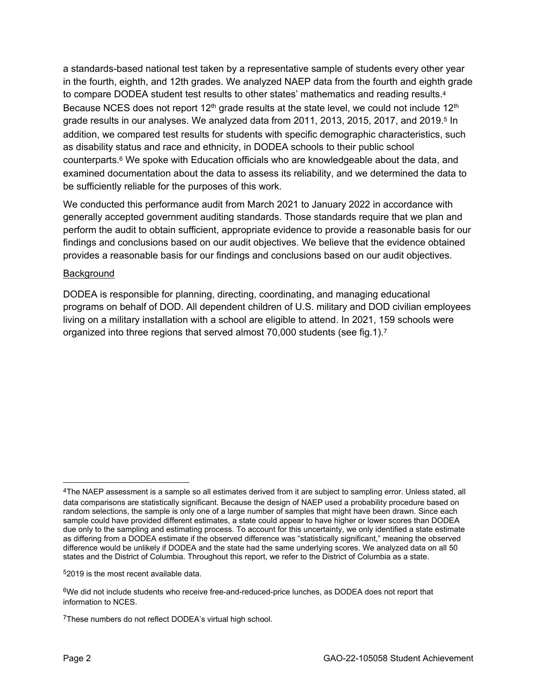a standards-based national test taken by a representative sample of students every other year in the fourth, eighth, and 12th grades. We analyzed NAEP data from the fourth and eighth grade to compare DODEA student test results to other states' mathematics and reading results. [4](#page-1-0) Because NCES does not report  $12<sup>th</sup>$  grade results at the state level, we could not include  $12<sup>th</sup>$ grade results in our analyses. We analyzed data from 2011, 2013, 201[5](#page-1-1), 2017, and 2019.<sup>5</sup> In addition, we compared test results for students with specific demographic characteristics, such as disability status and race and ethnicity, in DODEA schools to their public school counterparts.[6](#page-1-2) We spoke with Education officials who are knowledgeable about the data, and examined documentation about the data to assess its reliability, and we determined the data to be sufficiently reliable for the purposes of this work.

We conducted this performance audit from March 2021 to January 2022 in accordance with generally accepted government auditing standards. Those standards require that we plan and perform the audit to obtain sufficient, appropriate evidence to provide a reasonable basis for our findings and conclusions based on our audit objectives. We believe that the evidence obtained provides a reasonable basis for our findings and conclusions based on our audit objectives.

## Background

DODEA is responsible for planning, directing, coordinating, and managing educational programs on behalf of DOD. All dependent children of U.S. military and DOD civilian employees living on a military installation with a school are eligible to attend. In 2021, 159 schools were organized into three regions that served almost 70,000 students (see fig.1).[7](#page-1-3)

 $\overline{a}$ 

<span id="page-1-0"></span><sup>4</sup>The NAEP assessment is a sample so all estimates derived from it are subject to sampling error. Unless stated, all data comparisons are statistically significant. Because the design of NAEP used a probability procedure based on random selections, the sample is only one of a large number of samples that might have been drawn. Since each sample could have provided different estimates, a state could appear to have higher or lower scores than DODEA due only to the sampling and estimating process. To account for this uncertainty, we only identified a state estimate as differing from a DODEA estimate if the observed difference was "statistically significant," meaning the observed difference would be unlikely if DODEA and the state had the same underlying scores. We analyzed data on all 50 states and the District of Columbia. Throughout this report, we refer to the District of Columbia as a state.

<span id="page-1-1"></span><sup>5</sup>2019 is the most recent available data.

<span id="page-1-2"></span><sup>6</sup>We did not include students who receive free-and-reduced-price lunches, as DODEA does not report that information to NCES.

<span id="page-1-3"></span><sup>7</sup>These numbers do not reflect DODEA's virtual high school.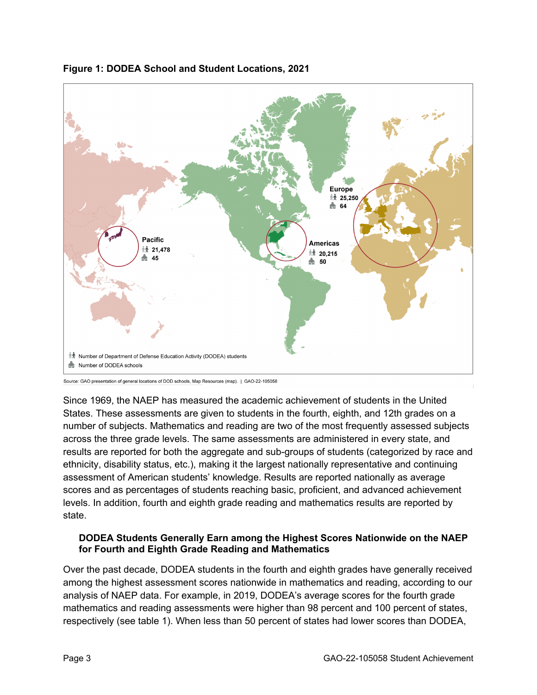

# **Figure 1: DODEA School and Student Locations, 2021**

Since 1969, the NAEP has measured the academic achievement of students in the United States. These assessments are given to students in the fourth, eighth, and 12th grades on a number of subjects. Mathematics and reading are two of the most frequently assessed subjects across the three grade levels. The same assessments are administered in every state, and results are reported for both the aggregate and sub-groups of students (categorized by race and ethnicity, disability status, etc.), making it the largest nationally representative and continuing assessment of American students' knowledge. Results are reported nationally as average scores and as percentages of students reaching basic, proficient, and advanced achievement levels. In addition, fourth and eighth grade reading and mathematics results are reported by state.

## **DODEA Students Generally Earn among the Highest Scores Nationwide on the NAEP for Fourth and Eighth Grade Reading and Mathematics**

Over the past decade, DODEA students in the fourth and eighth grades have generally received among the highest assessment scores nationwide in mathematics and reading, according to our analysis of NAEP data. For example, in 2019, DODEA's average scores for the fourth grade mathematics and reading assessments were higher than 98 percent and 100 percent of states, respectively (see table 1). When less than 50 percent of states had lower scores than DODEA,

Source: GAO presentation of general locations of DOD schools, Map Resources (map). | GAO-22-105058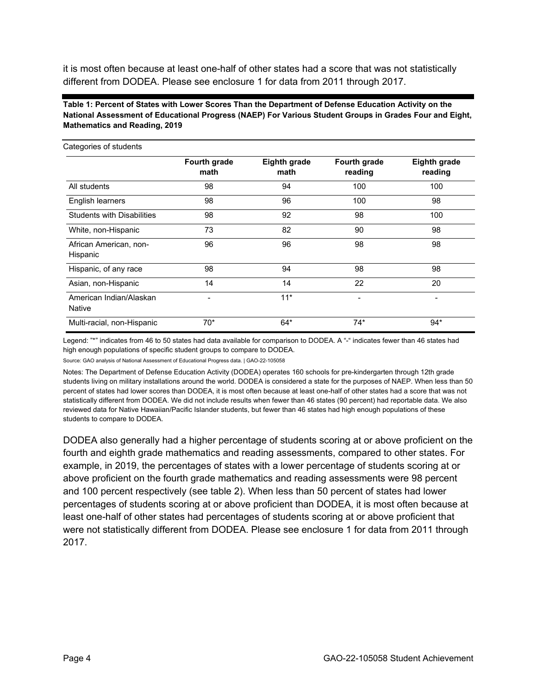it is most often because at least one-half of other states had a score that was not statistically different from DODEA. Please see enclosure 1 for data from 2011 through 2017.

### **Table 1: Percent of States with Lower Scores Than the Department of Defense Education Activity on the National Assessment of Educational Progress (NAEP) For Various Student Groups in Grades Four and Eight, Mathematics and Reading, 2019**

| Categories of students             |                      |                             |                         |                                |
|------------------------------------|----------------------|-----------------------------|-------------------------|--------------------------------|
|                                    | Fourth grade<br>math | <b>Eighth grade</b><br>math | Fourth grade<br>reading | <b>Eighth grade</b><br>reading |
| All students                       | 98                   | 94                          | 100                     | 100                            |
| English learners                   | 98                   | 96                          | 100                     | 98                             |
| <b>Students with Disabilities</b>  | 98                   | 92                          | 98                      | 100                            |
| White, non-Hispanic                | 73                   | 82                          | 90                      | 98                             |
| African American, non-<br>Hispanic | 96                   | 96                          | 98                      | 98                             |
| Hispanic, of any race              | 98                   | 94                          | 98                      | 98                             |
| Asian, non-Hispanic                | 14                   | 14                          | 22                      | 20                             |
| American Indian/Alaskan<br>Native  | $\blacksquare$       | $11*$                       |                         |                                |
| Multi-racial, non-Hispanic         | $70*$                | $64*$                       | $74*$                   | $94*$                          |

Legend: "\*" indicates from 46 to 50 states had data available for comparison to DODEA. A "-" indicates fewer than 46 states had high enough populations of specific student groups to compare to DODEA.

Source: GAO analysis of National Assessment of Educational Progress data. | GAO-22-105058

Notes: The Department of Defense Education Activity (DODEA) operates 160 schools for pre-kindergarten through 12th grade students living on military installations around the world. DODEA is considered a state for the purposes of NAEP. When less than 50 percent of states had lower scores than DODEA, it is most often because at least one-half of other states had a score that was not statistically different from DODEA. We did not include results when fewer than 46 states (90 percent) had reportable data. We also reviewed data for Native Hawaiian/Pacific Islander students, but fewer than 46 states had high enough populations of these students to compare to DODEA.

DODEA also generally had a higher percentage of students scoring at or above proficient on the fourth and eighth grade mathematics and reading assessments, compared to other states. For example, in 2019, the percentages of states with a lower percentage of students scoring at or above proficient on the fourth grade mathematics and reading assessments were 98 percent and 100 percent respectively (see table 2). When less than 50 percent of states had lower percentages of students scoring at or above proficient than DODEA, it is most often because at least one-half of other states had percentages of students scoring at or above proficient that were not statistically different from DODEA. Please see enclosure 1 for data from 2011 through 2017.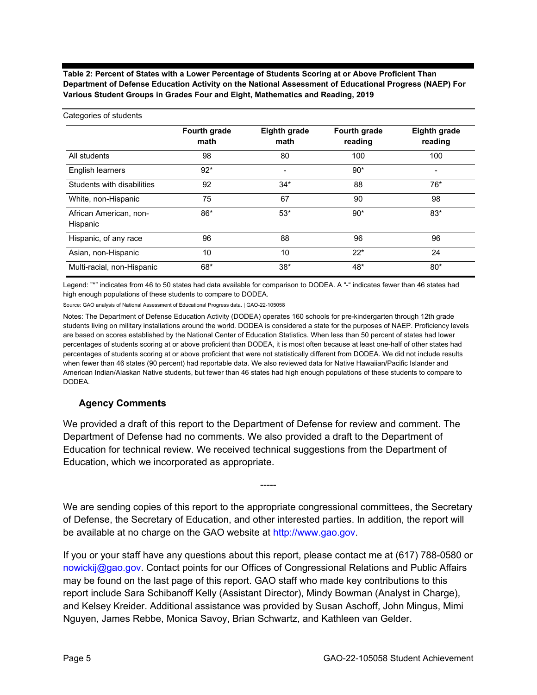**Table 2: Percent of States with a Lower Percentage of Students Scoring at or Above Proficient Than Department of Defense Education Activity on the National Assessment of Educational Progress (NAEP) For Various Student Groups in Grades Four and Eight, Mathematics and Reading, 2019**

| Categories of students             |                      |                             |                         |                                |
|------------------------------------|----------------------|-----------------------------|-------------------------|--------------------------------|
|                                    | Fourth grade<br>math | <b>Eighth grade</b><br>math | Fourth grade<br>reading | <b>Eighth grade</b><br>reading |
| All students                       | 98                   | 80                          | 100                     | 100                            |
| English learners                   | $92*$                | -                           | $90*$                   |                                |
| Students with disabilities         | 92                   | $34*$                       | 88                      | $76*$                          |
| White, non-Hispanic                | 75                   | 67                          | 90                      | 98                             |
| African American, non-<br>Hispanic | 86*                  | $53*$                       | $90*$                   | $83*$                          |
| Hispanic, of any race              | 96                   | 88                          | 96                      | 96                             |
| Asian, non-Hispanic                | 10                   | 10                          | $22*$                   | 24                             |
| Multi-racial, non-Hispanic         | $68*$                | $38*$                       | 48*                     | $80*$                          |

Legend: "\*" indicates from 46 to 50 states had data available for comparison to DODEA. A "-" indicates fewer than 46 states had high enough populations of these students to compare to DODEA.

Source: GAO analysis of National Assessment of Educational Progress data. | GAO-22-105058

Notes: The Department of Defense Education Activity (DODEA) operates 160 schools for pre-kindergarten through 12th grade students living on military installations around the world. DODEA is considered a state for the purposes of NAEP. Proficiency levels are based on scores established by the National Center of Education Statistics. When less than 50 percent of states had lower percentages of students scoring at or above proficient than DODEA, it is most often because at least one-half of other states had percentages of students scoring at or above proficient that were not statistically different from DODEA. We did not include results when fewer than 46 states (90 percent) had reportable data. We also reviewed data for Native Hawaiian/Pacific Islander and American Indian/Alaskan Native students, but fewer than 46 states had high enough populations of these students to compare to DODEA.

## **Agency Comments**

We provided a draft of this report to the Department of Defense for review and comment. The Department of Defense had no comments. We also provided a draft to the Department of Education for technical review. We received technical suggestions from the Department of Education, which we incorporated as appropriate.

We are sending copies of this report to the appropriate congressional committees, the Secretary of Defense, the Secretary of Education, and other interested parties. In addition, the report will be available at no charge on the GAO website at [http://www.gao.gov](http://www.gao.gov/).

-----

If you or your staff have any questions about this report, please contact me at (617) 788-0580 or [nowickij@gao.gov.](mailto:nowickij@gao.gov) Contact points for our Offices of Congressional Relations and Public Affairs may be found on the last page of this report. GAO staff who made key contributions to this report include Sara Schibanoff Kelly (Assistant Director), Mindy Bowman (Analyst in Charge), and Kelsey Kreider. Additional assistance was provided by Susan Aschoff, John Mingus, Mimi Nguyen, James Rebbe, Monica Savoy, Brian Schwartz, and Kathleen van Gelder.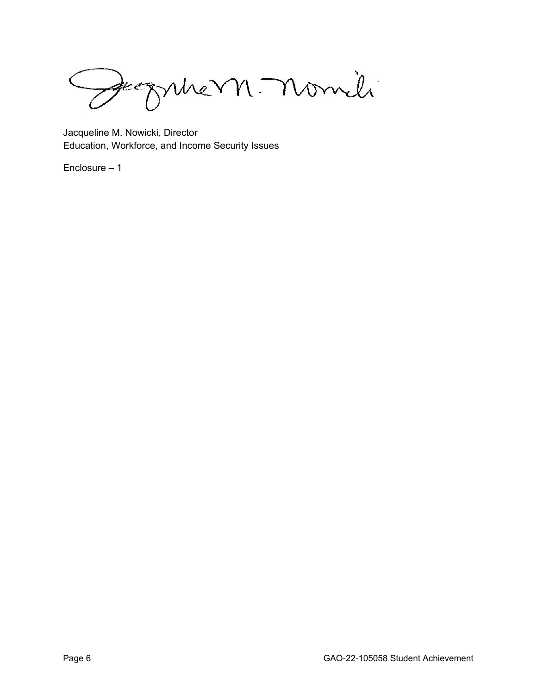Jeograhe M. nomili

Jacqueline M. Nowicki, Director Education, Workforce, and Income Security Issues

Enclosure – 1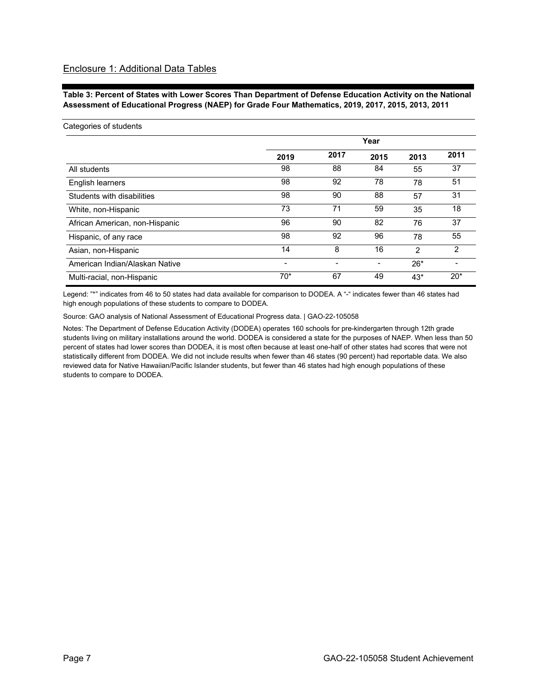**Table 3: Percent of States with Lower Scores Than Department of Defense Education Activity on the National Assessment of Educational Progress (NAEP) for Grade Four Mathematics, 2019, 2017, 2015, 2013, 2011**

| Categories of students         |       |      | Year |               |       |
|--------------------------------|-------|------|------|---------------|-------|
|                                | 2019  | 2017 | 2015 | 2013          | 2011  |
| All students                   | 98    | 88   | 84   | 55            | 37    |
| English learners               | 98    | 92   | 78   | 78            | 51    |
| Students with disabilities     | 98    | 90   | 88   | 57            | 31    |
| White, non-Hispanic            | 73    | 71   | 59   | 35            | 18    |
| African American, non-Hispanic | 96    | 90   | 82   | 76            | 37    |
| Hispanic, of any race          | 98    | 92   | 96   | 78            | 55    |
| Asian, non-Hispanic            | 14    | 8    | 16   | $\mathcal{P}$ | 2     |
| American Indian/Alaskan Native |       |      |      | $26*$         |       |
| Multi-racial, non-Hispanic     | $70*$ | 67   | 49   | $43*$         | $20*$ |

Legend: "\*" indicates from 46 to 50 states had data available for comparison to DODEA. A "-" indicates fewer than 46 states had high enough populations of these students to compare to DODEA.

Source: GAO analysis of National Assessment of Educational Progress data. | GAO-22-105058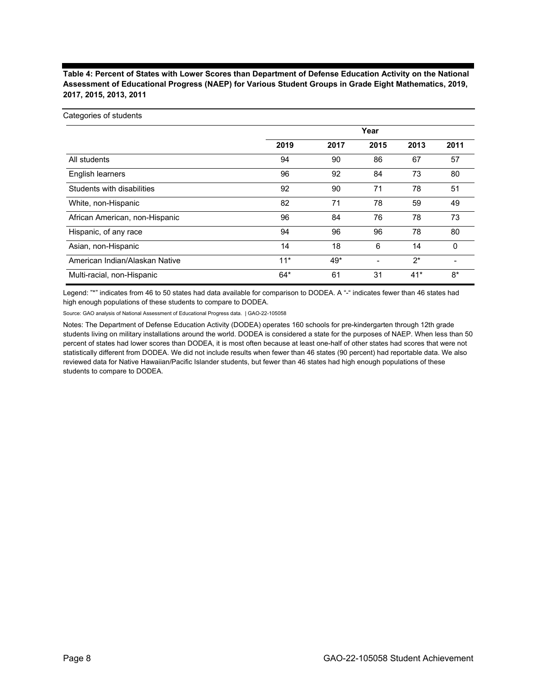### **Table 4: Percent of States with Lower Scores than Department of Defense Education Activity on the National Assessment of Educational Progress (NAEP) for Various Student Groups in Grade Eight Mathematics, 2019, 2017, 2015, 2013, 2011**

#### Categories of students

|                                | Year  |       |                          |       |      |
|--------------------------------|-------|-------|--------------------------|-------|------|
|                                | 2019  | 2017  | 2015                     | 2013  | 2011 |
| All students                   | 94    | 90    | 86                       | 67    | 57   |
| English learners               | 96    | 92    | 84                       | 73    | 80   |
| Students with disabilities     | 92    | 90    | 71                       | 78    | 51   |
| White, non-Hispanic            | 82    | 71    | 78                       | 59    | 49   |
| African American, non-Hispanic | 96    | 84    | 76                       | 78    | 73   |
| Hispanic, of any race          | 94    | 96    | 96                       | 78    | 80   |
| Asian, non-Hispanic            | 14    | 18    | 6                        | 14    | 0    |
| American Indian/Alaskan Native | $11*$ | $49*$ | $\overline{\phantom{0}}$ | $2^*$ |      |
| Multi-racial, non-Hispanic     | $64*$ | 61    | 31                       | $41*$ | $8*$ |

Legend: "\*" indicates from 46 to 50 states had data available for comparison to DODEA. A "-" indicates fewer than 46 states had high enough populations of these students to compare to DODEA.

Source: GAO analysis of National Assessment of Educational Progress data. | GAO-22-105058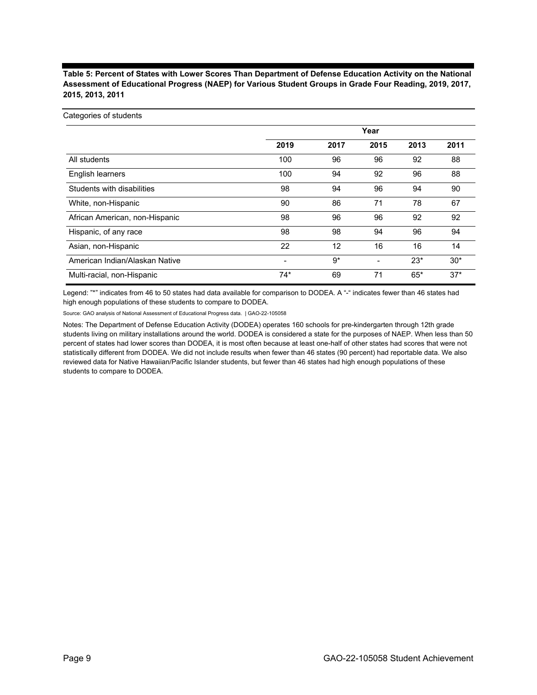**Table 5: Percent of States with Lower Scores Than Department of Defense Education Activity on the National Assessment of Educational Progress (NAEP) for Various Student Groups in Grade Four Reading, 2019, 2017, 2015, 2013, 2011**

| Categories of students |  |  |
|------------------------|--|--|
|                        |  |  |
|                        |  |  |
|                        |  |  |

|                                | Year  |      |      |       |       |
|--------------------------------|-------|------|------|-------|-------|
|                                | 2019  | 2017 | 2015 | 2013  | 2011  |
| All students                   | 100   | 96   | 96   | 92    | 88    |
| English learners               | 100   | 94   | 92   | 96    | 88    |
| Students with disabilities     | 98    | 94   | 96   | 94    | 90    |
| White, non-Hispanic            | 90    | 86   | 71   | 78    | 67    |
| African American, non-Hispanic | 98    | 96   | 96   | 92    | 92    |
| Hispanic, of any race          | 98    | 98   | 94   | 96    | 94    |
| Asian, non-Hispanic            | 22    | 12   | 16   | 16    | 14    |
| American Indian/Alaskan Native |       | $9*$ | -    | $23*$ | $30*$ |
| Multi-racial, non-Hispanic     | $74*$ | 69   | 71   | $65*$ | $37*$ |

Legend: "\*" indicates from 46 to 50 states had data available for comparison to DODEA. A "-" indicates fewer than 46 states had high enough populations of these students to compare to DODEA.

Source: GAO analysis of National Assessment of Educational Progress data. | GAO-22-105058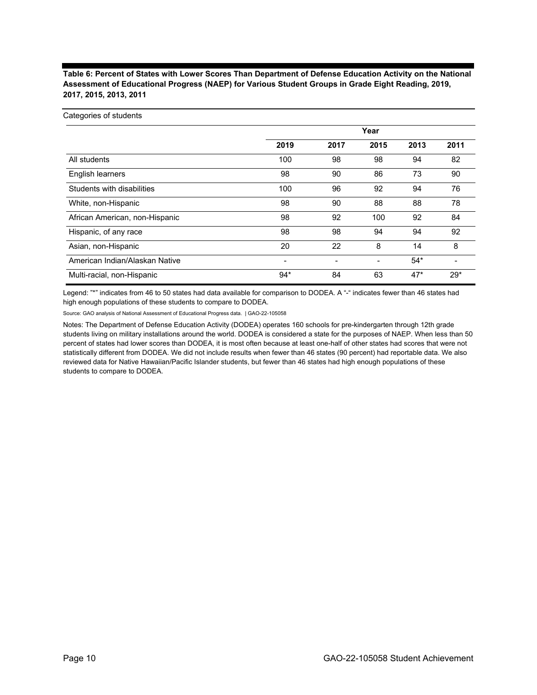### **Table 6: Percent of States with Lower Scores Than Department of Defense Education Activity on the National Assessment of Educational Progress (NAEP) for Various Student Groups in Grade Eight Reading, 2019, 2017, 2015, 2013, 2011**

#### Categories of students

|                                | Year  |      |      |       |       |
|--------------------------------|-------|------|------|-------|-------|
|                                | 2019  | 2017 | 2015 | 2013  | 2011  |
| All students                   | 100   | 98   | 98   | 94    | 82    |
| English learners               | 98    | 90   | 86   | 73    | 90    |
| Students with disabilities     | 100   | 96   | 92   | 94    | 76    |
| White, non-Hispanic            | 98    | 90   | 88   | 88    | 78    |
| African American, non-Hispanic | 98    | 92   | 100  | 92    | 84    |
| Hispanic, of any race          | 98    | 98   | 94   | 94    | 92    |
| Asian, non-Hispanic            | 20    | 22   | 8    | 14    | 8     |
| American Indian/Alaskan Native |       |      | -    | $54*$ |       |
| Multi-racial, non-Hispanic     | $94*$ | 84   | 63   | $47*$ | $29*$ |

Legend: "\*" indicates from 46 to 50 states had data available for comparison to DODEA. A "-" indicates fewer than 46 states had high enough populations of these students to compare to DODEA.

Source: GAO analysis of National Assessment of Educational Progress data. | GAO-22-105058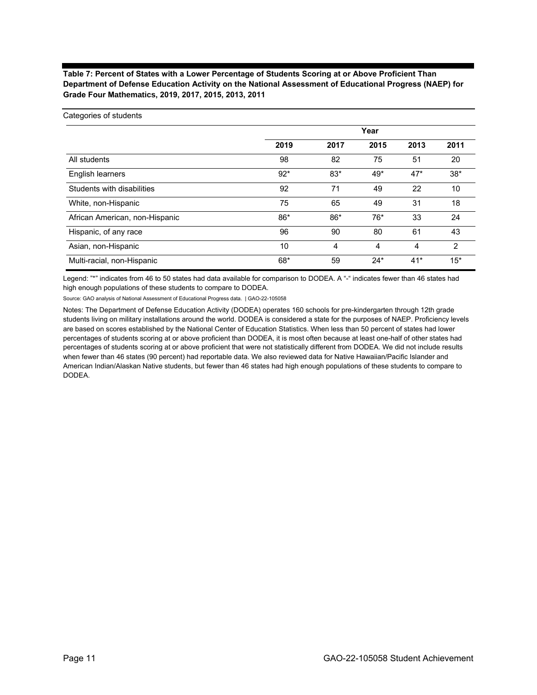### **Table 7: Percent of States with a Lower Percentage of Students Scoring at or Above Proficient Than Department of Defense Education Activity on the National Assessment of Educational Progress (NAEP) for Grade Four Mathematics, 2019, 2017, 2015, 2013, 2011**

|                                | Year  |       |       |       |                |  |
|--------------------------------|-------|-------|-------|-------|----------------|--|
|                                | 2019  | 2017  | 2015  | 2013  | 2011           |  |
| All students                   | 98    | 82    | 75    | 51    | 20             |  |
| <b>English learners</b>        | $92*$ | $83*$ | 49*   | $47*$ | $38*$          |  |
| Students with disabilities     | 92    | 71    | 49    | 22    | 10             |  |
| White, non-Hispanic            | 75    | 65    | 49    | 31    | 18             |  |
| African American, non-Hispanic | 86*   | 86*   | $76*$ | 33    | 24             |  |
| Hispanic, of any race          | 96    | 90    | 80    | 61    | 43             |  |
| Asian, non-Hispanic            | 10    | 4     | 4     | 4     | $\overline{2}$ |  |
| Multi-racial, non-Hispanic     | 68*   | 59    | $24*$ | $41*$ | $15*$          |  |

Legend: "\*" indicates from 46 to 50 states had data available for comparison to DODEA. A "-" indicates fewer than 46 states had high enough populations of these students to compare to DODEA.

Source: GAO analysis of National Assessment of Educational Progress data. | GAO-22-105058

Categories of students

Notes: The Department of Defense Education Activity (DODEA) operates 160 schools for pre-kindergarten through 12th grade students living on military installations around the world. DODEA is considered a state for the purposes of NAEP. Proficiency levels are based on scores established by the National Center of Education Statistics. When less than 50 percent of states had lower percentages of students scoring at or above proficient than DODEA, it is most often because at least one-half of other states had percentages of students scoring at or above proficient that were not statistically different from DODEA. We did not include results when fewer than 46 states (90 percent) had reportable data. We also reviewed data for Native Hawaiian/Pacific Islander and American Indian/Alaskan Native students, but fewer than 46 states had high enough populations of these students to compare to DODEA.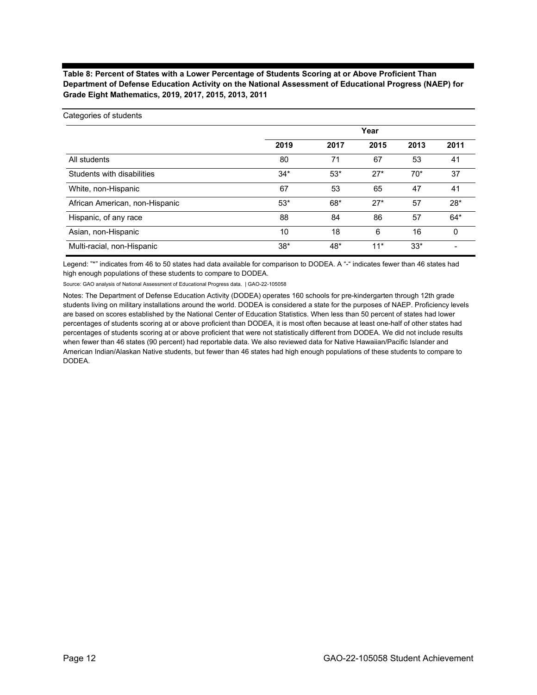### **Table 8: Percent of States with a Lower Percentage of Students Scoring at or Above Proficient Than Department of Defense Education Activity on the National Assessment of Educational Progress (NAEP) for Grade Eight Mathematics, 2019, 2017, 2015, 2013, 2011**

|                                | Year  |       |       |       |       |  |
|--------------------------------|-------|-------|-------|-------|-------|--|
|                                | 2019  | 2017  | 2015  | 2013  | 2011  |  |
| All students                   | 80    | 71    | 67    | 53    | 41    |  |
| Students with disabilities     | $34*$ | $53*$ | $27*$ | $70*$ | 37    |  |
| White, non-Hispanic            | 67    | 53    | 65    | 47    | 41    |  |
| African American, non-Hispanic | $53*$ | $68*$ | $27*$ | 57    | $28*$ |  |
| Hispanic, of any race          | 88    | 84    | 86    | 57    | $64*$ |  |
| Asian, non-Hispanic            | 10    | 18    | 6     | 16    | 0     |  |
| Multi-racial, non-Hispanic     | $38*$ | 48*   | $11*$ | $33*$ |       |  |

Legend: "\*" indicates from 46 to 50 states had data available for comparison to DODEA. A "-" indicates fewer than 46 states had high enough populations of these students to compare to DODEA.

Source: GAO analysis of National Assessment of Educational Progress data. | GAO-22-105058

Categories of students

Notes: The Department of Defense Education Activity (DODEA) operates 160 schools for pre-kindergarten through 12th grade students living on military installations around the world. DODEA is considered a state for the purposes of NAEP. Proficiency levels are based on scores established by the National Center of Education Statistics. When less than 50 percent of states had lower percentages of students scoring at or above proficient than DODEA, it is most often because at least one-half of other states had percentages of students scoring at or above proficient that were not statistically different from DODEA. We did not include results when fewer than 46 states (90 percent) had reportable data. We also reviewed data for Native Hawaiian/Pacific Islander and American Indian/Alaskan Native students, but fewer than 46 states had high enough populations of these students to compare to DODEA.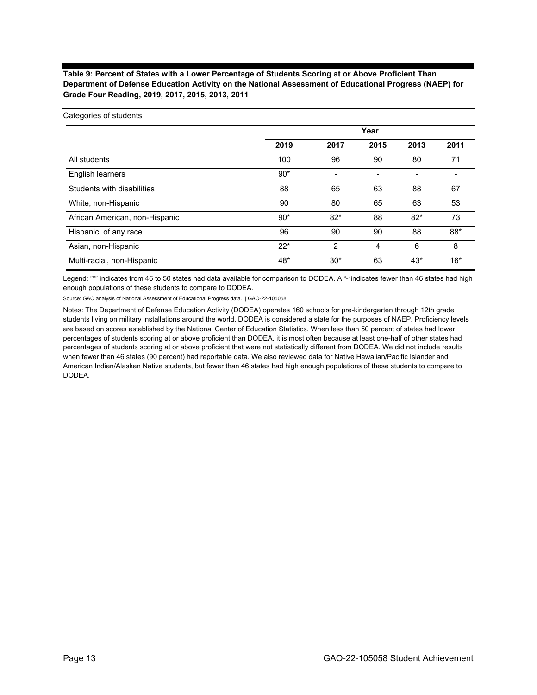### **Table 9: Percent of States with a Lower Percentage of Students Scoring at or Above Proficient Than Department of Defense Education Activity on the National Assessment of Educational Progress (NAEP) for Grade Four Reading, 2019, 2017, 2015, 2013, 2011**

#### Categories of students

|                                | Year  |                |      |                          |       |
|--------------------------------|-------|----------------|------|--------------------------|-------|
|                                | 2019  | 2017           | 2015 | 2013                     | 2011  |
| All students                   | 100   | 96             | 90   | 80                       | 71    |
| English learners               | $90*$ | $\blacksquare$ |      | $\overline{\phantom{0}}$ |       |
| Students with disabilities     | 88    | 65             | 63   | 88                       | 67    |
| White, non-Hispanic            | 90    | 80             | 65   | 63                       | 53    |
| African American, non-Hispanic | $90*$ | $82*$          | 88   | $82*$                    | 73    |
| Hispanic, of any race          | 96    | 90             | 90   | 88                       | 88*   |
| Asian, non-Hispanic            | $22*$ | 2              | 4    | 6                        | 8     |
| Multi-racial, non-Hispanic     | 48*   | $30*$          | 63   | $43*$                    | $16*$ |

Legend: "\*" indicates from 46 to 50 states had data available for comparison to DODEA. A "-"indicates fewer than 46 states had high enough populations of these students to compare to DODEA.

Source: GAO analysis of National Assessment of Educational Progress data. | GAO-22-105058

Notes: The Department of Defense Education Activity (DODEA) operates 160 schools for pre-kindergarten through 12th grade students living on military installations around the world. DODEA is considered a state for the purposes of NAEP. Proficiency levels are based on scores established by the National Center of Education Statistics. When less than 50 percent of states had lower percentages of students scoring at or above proficient than DODEA, it is most often because at least one-half of other states had percentages of students scoring at or above proficient that were not statistically different from DODEA. We did not include results when fewer than 46 states (90 percent) had reportable data. We also reviewed data for Native Hawaiian/Pacific Islander and American Indian/Alaskan Native students, but fewer than 46 states had high enough populations of these students to compare to DODEA.